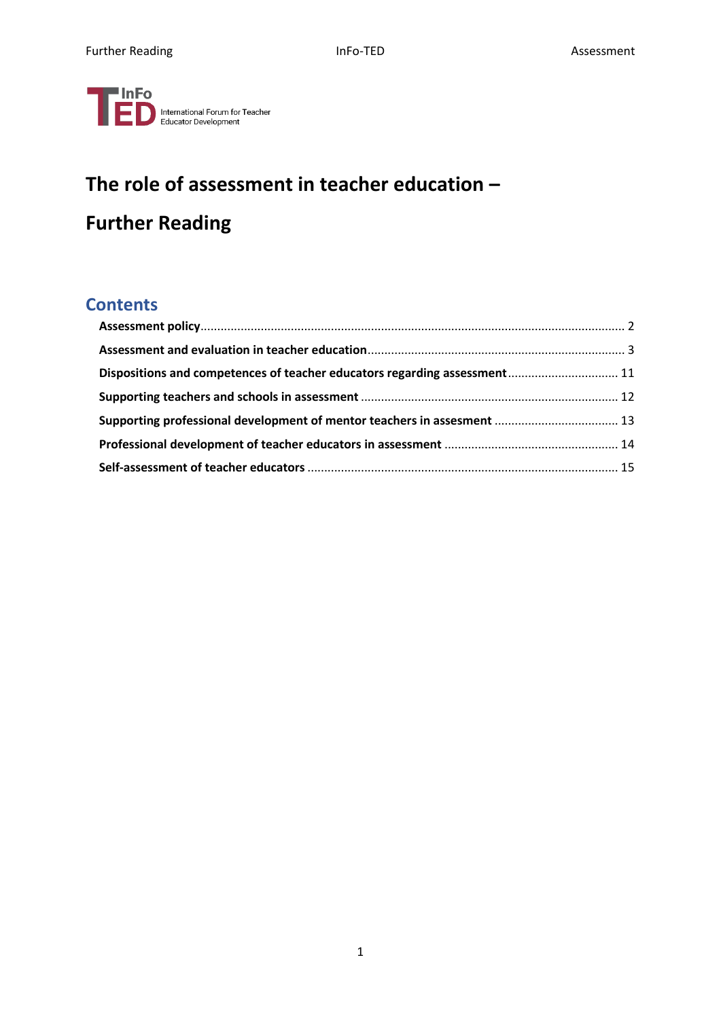

# **The role of assessment in teacher education – Further Reading**

# **Contents**

| Dispositions and competences of teacher educators regarding assessment 11 |  |
|---------------------------------------------------------------------------|--|
|                                                                           |  |
| Supporting professional development of mentor teachers in assesment  13   |  |
|                                                                           |  |
|                                                                           |  |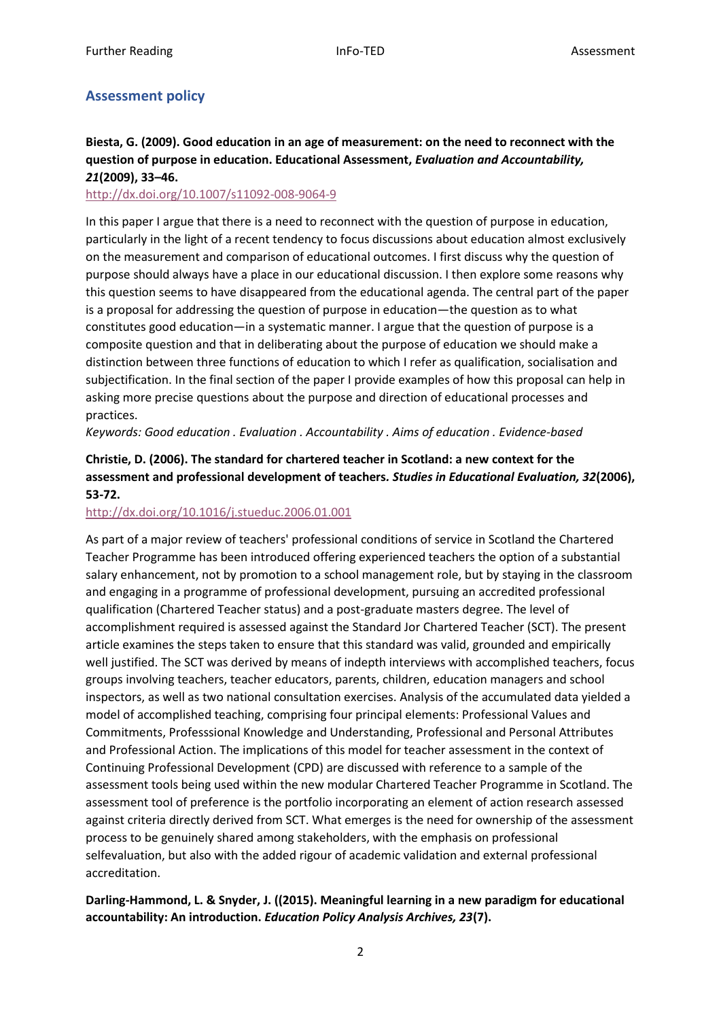# <span id="page-1-0"></span>**Assessment policy**

### **Biesta, G. (2009). Good education in an age of measurement: on the need to reconnect with the question of purpose in education. Educational Assessment,** *Evaluation and Accountability, 21***(2009), 33–46.**

### <http://dx.doi.org/10.1007/s11092-008-9064-9>

In this paper I argue that there is a need to reconnect with the question of purpose in education, particularly in the light of a recent tendency to focus discussions about education almost exclusively on the measurement and comparison of educational outcomes. I first discuss why the question of purpose should always have a place in our educational discussion. I then explore some reasons why this question seems to have disappeared from the educational agenda. The central part of the paper is a proposal for addressing the question of purpose in education—the question as to what constitutes good education—in a systematic manner. I argue that the question of purpose is a composite question and that in deliberating about the purpose of education we should make a distinction between three functions of education to which I refer as qualification, socialisation and subjectification. In the final section of the paper I provide examples of how this proposal can help in asking more precise questions about the purpose and direction of educational processes and practices.

*Keywords: Good education . Evaluation . Accountability . Aims of education . Evidence-based* 

# **Christie, D. (2006). The standard for chartered teacher in Scotland: a new context for the assessment and professional development of teachers***. Studies in Educational Evaluation, 32***(2006), 53-72.**

### <http://dx.doi.org/10.1016/j.stueduc.2006.01.001>

As part of a major review of teachers' professional conditions of service in Scotland the Chartered Teacher Programme has been introduced offering experienced teachers the option of a substantial salary enhancement, not by promotion to a school management role, but by staying in the classroom and engaging in a programme of professional development, pursuing an accredited professional qualification (Chartered Teacher status) and a post-graduate masters degree. The level of accomplishment required is assessed against the Standard Jor Chartered Teacher (SCT). The present article examines the steps taken to ensure that this standard was valid, grounded and empirically well justified. The SCT was derived by means of indepth interviews with accomplished teachers, focus groups involving teachers, teacher educators, parents, children, education managers and school inspectors, as well as two national consultation exercises. Analysis of the accumulated data yielded a model of accomplished teaching, comprising four principal elements: Professional Values and Commitments, Professsional Knowledge and Understanding, Professional and Personal Attributes and Professional Action. The implications of this model for teacher assessment in the context of Continuing Professional Development (CPD) are discussed with reference to a sample of the assessment tools being used within the new modular Chartered Teacher Programme in Scotland. The assessment tool of preference is the portfolio incorporating an element of action research assessed against criteria directly derived from SCT. What emerges is the need for ownership of the assessment process to be genuinely shared among stakeholders, with the emphasis on professional selfevaluation, but also with the added rigour of academic validation and external professional accreditation.

### **Darling-Hammond, L. & Snyder, J. ((2015). Meaningful learning in a new paradigm for educational accountability: An introduction.** *Education Policy Analysis Archives, 23***(7).**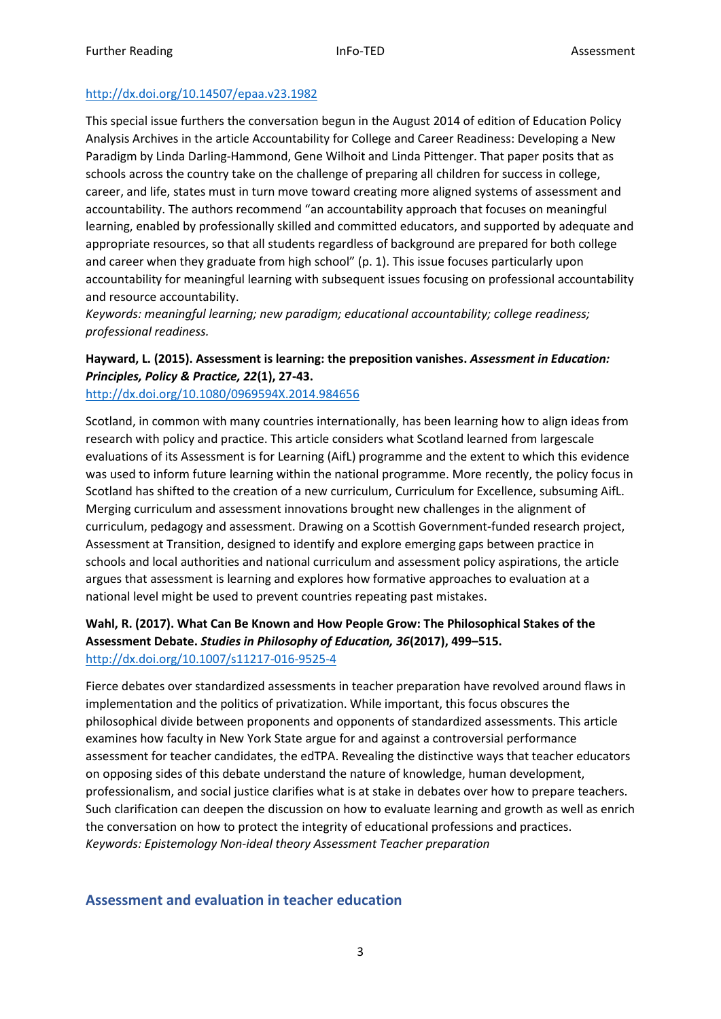### <http://dx.doi.org/10.14507/epaa.v23.1982>

This special issue furthers the conversation begun in the August 2014 of edition of Education Policy Analysis Archives in the article Accountability for College and Career Readiness: Developing a New Paradigm by Linda Darling-Hammond, Gene Wilhoit and Linda Pittenger. That paper posits that as schools across the country take on the challenge of preparing all children for success in college, career, and life, states must in turn move toward creating more aligned systems of assessment and accountability. The authors recommend "an accountability approach that focuses on meaningful learning, enabled by professionally skilled and committed educators, and supported by adequate and appropriate resources, so that all students regardless of background are prepared for both college and career when they graduate from high school" (p. 1). This issue focuses particularly upon accountability for meaningful learning with subsequent issues focusing on professional accountability and resource accountability.

*Keywords: meaningful learning; new paradigm; educational accountability; college readiness; professional readiness.* 

# **Hayward, L. (2015). Assessment is learning: the preposition vanishes.** *Assessment in Education: Principles, Policy & Practice, 22***(1), 27-43.**

<http://dx.doi.org/10.1080/0969594X.2014.984656>

Scotland, in common with many countries internationally, has been learning how to align ideas from research with policy and practice. This article considers what Scotland learned from largescale evaluations of its Assessment is for Learning (AifL) programme and the extent to which this evidence was used to inform future learning within the national programme. More recently, the policy focus in Scotland has shifted to the creation of a new curriculum, Curriculum for Excellence, subsuming AifL. Merging curriculum and assessment innovations brought new challenges in the alignment of curriculum, pedagogy and assessment. Drawing on a Scottish Government-funded research project, Assessment at Transition, designed to identify and explore emerging gaps between practice in schools and local authorities and national curriculum and assessment policy aspirations, the article argues that assessment is learning and explores how formative approaches to evaluation at a national level might be used to prevent countries repeating past mistakes.

### **Wahl, R. (2017). What Can Be Known and How People Grow: The Philosophical Stakes of the Assessment Debate.** *Studies in Philosophy of Education, 36***(2017), 499–515.**  <http://dx.doi.org/10.1007/s11217-016-9525-4>

Fierce debates over standardized assessments in teacher preparation have revolved around flaws in implementation and the politics of privatization. While important, this focus obscures the philosophical divide between proponents and opponents of standardized assessments. This article examines how faculty in New York State argue for and against a controversial performance assessment for teacher candidates, the edTPA. Revealing the distinctive ways that teacher educators on opposing sides of this debate understand the nature of knowledge, human development, professionalism, and social justice clarifies what is at stake in debates over how to prepare teachers. Such clarification can deepen the discussion on how to evaluate learning and growth as well as enrich the conversation on how to protect the integrity of educational professions and practices. *Keywords: Epistemology Non-ideal theory Assessment Teacher preparation* 

# <span id="page-2-0"></span>**Assessment and evaluation in teacher education**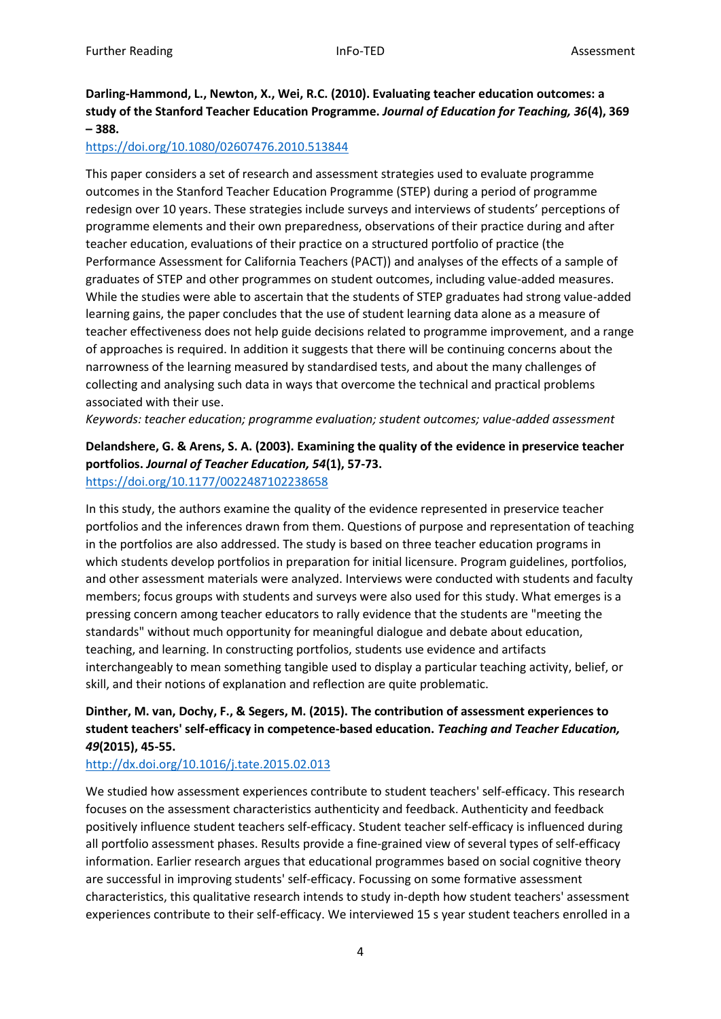# **Darling-Hammond, L., Newton, X., Wei, R.C. (2010). Evaluating teacher education outcomes: a study of the Stanford Teacher Education Programme.** *Journal of Education for Teaching, 36***(4), 369 – 388.**

### <https://doi.org/10.1080/02607476.2010.513844>

This paper considers a set of research and assessment strategies used to evaluate programme outcomes in the Stanford Teacher Education Programme (STEP) during a period of programme redesign over 10 years. These strategies include surveys and interviews of students' perceptions of programme elements and their own preparedness, observations of their practice during and after teacher education, evaluations of their practice on a structured portfolio of practice (the Performance Assessment for California Teachers (PACT)) and analyses of the effects of a sample of graduates of STEP and other programmes on student outcomes, including value-added measures. While the studies were able to ascertain that the students of STEP graduates had strong value-added learning gains, the paper concludes that the use of student learning data alone as a measure of teacher effectiveness does not help guide decisions related to programme improvement, and a range of approaches is required. In addition it suggests that there will be continuing concerns about the narrowness of the learning measured by standardised tests, and about the many challenges of collecting and analysing such data in ways that overcome the technical and practical problems associated with their use.

*Keywords: teacher education; programme evaluation; student outcomes; value-added assessment* 

# **Delandshere, G. & Arens, S. A. (2003). Examining the quality of the evidence in preservice teacher portfolios.** *Journal of Teacher Education, 54***(1), 57-73.**

### <https://doi.org/10.1177/0022487102238658>

In this study, the authors examine the quality of the evidence represented in preservice teacher portfolios and the inferences drawn from them. Questions of purpose and representation of teaching in the portfolios are also addressed. The study is based on three teacher education programs in which students develop portfolios in preparation for initial licensure. Program guidelines, portfolios, and other assessment materials were analyzed. Interviews were conducted with students and faculty members; focus groups with students and surveys were also used for this study. What emerges is a pressing concern among teacher educators to rally evidence that the students are "meeting the standards" without much opportunity for meaningful dialogue and debate about education, teaching, and learning. In constructing portfolios, students use evidence and artifacts interchangeably to mean something tangible used to display a particular teaching activity, belief, or skill, and their notions of explanation and reflection are quite problematic.

# **Dinther, M. van, Dochy, F., & Segers, M. (2015). The contribution of assessment experiences to student teachers' self-efficacy in competence-based education.** *Teaching and Teacher Education, 49***(2015), 45-55.**

### <http://dx.doi.org/10.1016/j.tate.2015.02.013>

We studied how assessment experiences contribute to student teachers' self-efficacy. This research focuses on the assessment characteristics authenticity and feedback. Authenticity and feedback positively influence student teachers self-efficacy. Student teacher self-efficacy is influenced during all portfolio assessment phases. Results provide a fine-grained view of several types of self-efficacy information. Earlier research argues that educational programmes based on social cognitive theory are successful in improving students' self-efficacy. Focussing on some formative assessment characteristics, this qualitative research intends to study in-depth how student teachers' assessment experiences contribute to their self-efficacy. We interviewed 15 s year student teachers enrolled in a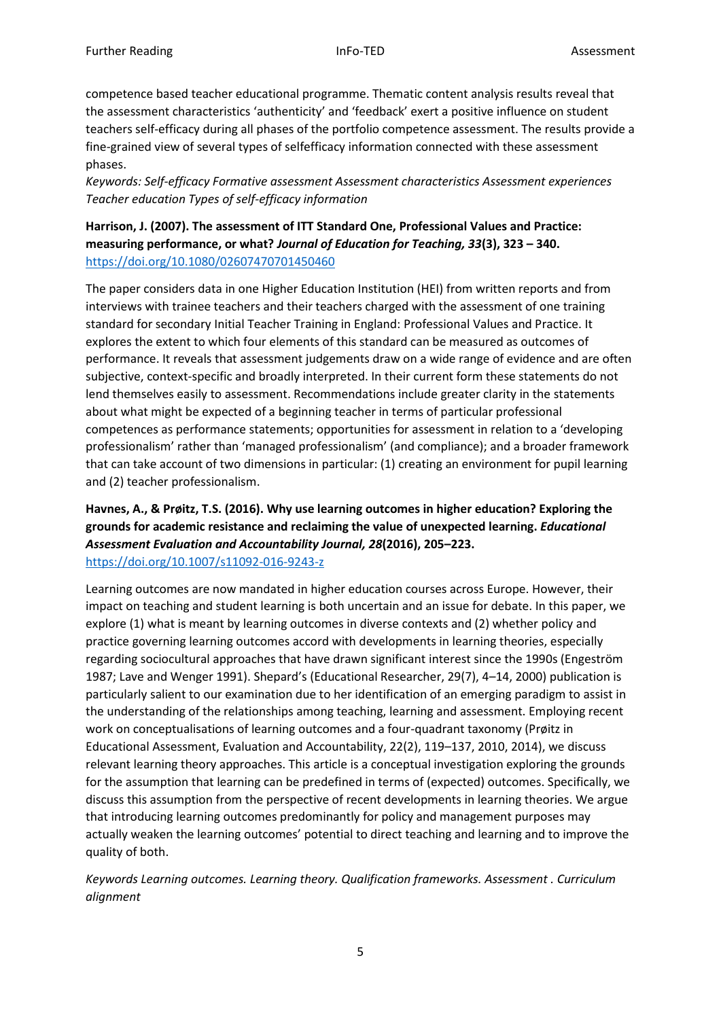competence based teacher educational programme. Thematic content analysis results reveal that the assessment characteristics 'authenticity' and 'feedback' exert a positive influence on student teachers self-efficacy during all phases of the portfolio competence assessment. The results provide a fine-grained view of several types of selfefficacy information connected with these assessment phases.

*Keywords: Self-efficacy Formative assessment Assessment characteristics Assessment experiences Teacher education Types of self-efficacy information* 

**Harrison, J. (2007). The assessment of ITT Standard One, Professional Values and Practice: measuring performance, or what?** *Journal of Education for Teaching, 33***(3), 323 – 340.**  <https://doi.org/10.1080/02607470701450460>

The paper considers data in one Higher Education Institution (HEI) from written reports and from interviews with trainee teachers and their teachers charged with the assessment of one training standard for secondary Initial Teacher Training in England: Professional Values and Practice. It explores the extent to which four elements of this standard can be measured as outcomes of performance. It reveals that assessment judgements draw on a wide range of evidence and are often subjective, context-specific and broadly interpreted. In their current form these statements do not lend themselves easily to assessment. Recommendations include greater clarity in the statements about what might be expected of a beginning teacher in terms of particular professional competences as performance statements; opportunities for assessment in relation to a 'developing professionalism' rather than 'managed professionalism' (and compliance); and a broader framework that can take account of two dimensions in particular: (1) creating an environment for pupil learning and (2) teacher professionalism.

**Havnes, A., & Prøitz, T.S. (2016). Why use learning outcomes in higher education? Exploring the grounds for academic resistance and reclaiming the value of unexpected learning.** *Educational Assessment Evaluation and Accountability Journal, 28***(2016), 205–223.**  <https://doi.org/10.1007/s11092-016-9243-z>

Learning outcomes are now mandated in higher education courses across Europe. However, their impact on teaching and student learning is both uncertain and an issue for debate. In this paper, we explore (1) what is meant by learning outcomes in diverse contexts and (2) whether policy and practice governing learning outcomes accord with developments in learning theories, especially regarding sociocultural approaches that have drawn significant interest since the 1990s (Engeström 1987; Lave and Wenger 1991). Shepard's (Educational Researcher, 29(7), 4–14, 2000) publication is particularly salient to our examination due to her identification of an emerging paradigm to assist in the understanding of the relationships among teaching, learning and assessment. Employing recent work on conceptualisations of learning outcomes and a four-quadrant taxonomy (Prøitz in Educational Assessment, Evaluation and Accountability, 22(2), 119–137, 2010, 2014), we discuss relevant learning theory approaches. This article is a conceptual investigation exploring the grounds for the assumption that learning can be predefined in terms of (expected) outcomes. Specifically, we discuss this assumption from the perspective of recent developments in learning theories. We argue that introducing learning outcomes predominantly for policy and management purposes may actually weaken the learning outcomes' potential to direct teaching and learning and to improve the quality of both.

*Keywords Learning outcomes. Learning theory. Qualification frameworks. Assessment . Curriculum alignment*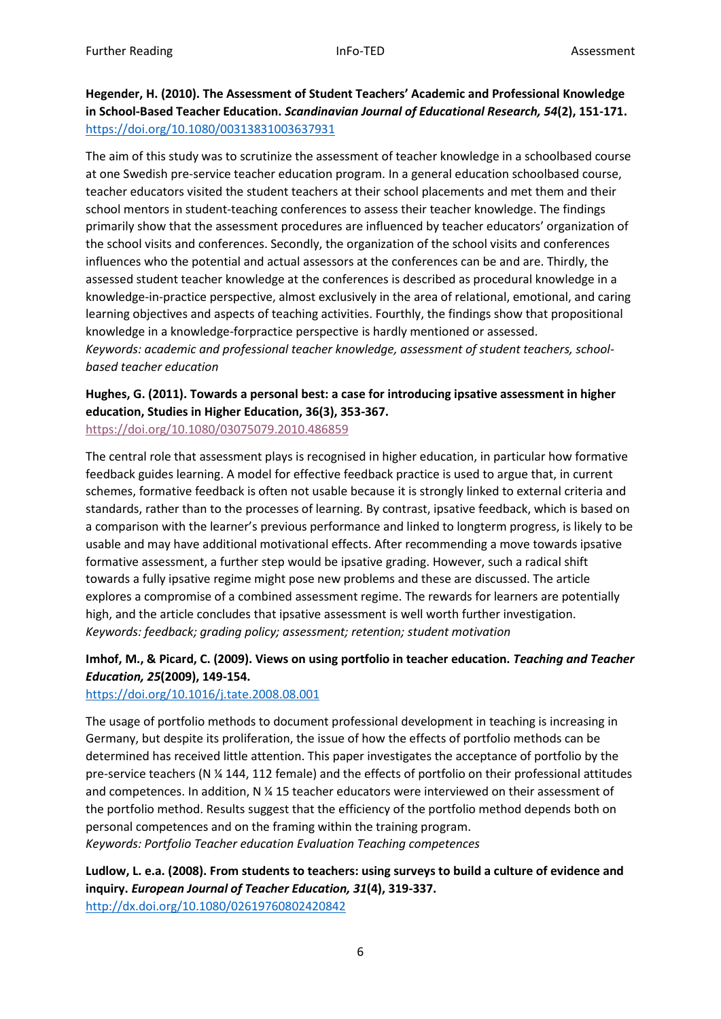### **Hegender, H. (2010). The Assessment of Student Teachers' Academic and Professional Knowledge in School-Based Teacher Education.** *Scandinavian Journal of Educational Research, 54***(2), 151-171.**  <https://doi.org/10.1080/00313831003637931>

The aim of this study was to scrutinize the assessment of teacher knowledge in a schoolbased course at one Swedish pre-service teacher education program. In a general education schoolbased course, teacher educators visited the student teachers at their school placements and met them and their school mentors in student-teaching conferences to assess their teacher knowledge. The findings primarily show that the assessment procedures are influenced by teacher educators' organization of the school visits and conferences. Secondly, the organization of the school visits and conferences influences who the potential and actual assessors at the conferences can be and are. Thirdly, the assessed student teacher knowledge at the conferences is described as procedural knowledge in a knowledge-in-practice perspective, almost exclusively in the area of relational, emotional, and caring learning objectives and aspects of teaching activities. Fourthly, the findings show that propositional knowledge in a knowledge-forpractice perspective is hardly mentioned or assessed. *Keywords: academic and professional teacher knowledge, assessment of student teachers, schoolbased teacher education* 

# **Hughes, G. (2011). Towards a personal best: a case for introducing ipsative assessment in higher education, Studies in Higher Education, 36(3), 353-367.**

<https://doi.org/10.1080/03075079.2010.486859>

The central role that assessment plays is recognised in higher education, in particular how formative feedback guides learning. A model for effective feedback practice is used to argue that, in current schemes, formative feedback is often not usable because it is strongly linked to external criteria and standards, rather than to the processes of learning. By contrast, ipsative feedback, which is based on a comparison with the learner's previous performance and linked to longterm progress, is likely to be usable and may have additional motivational effects. After recommending a move towards ipsative formative assessment, a further step would be ipsative grading. However, such a radical shift towards a fully ipsative regime might pose new problems and these are discussed. The article explores a compromise of a combined assessment regime. The rewards for learners are potentially high, and the article concludes that ipsative assessment is well worth further investigation. *Keywords: feedback; grading policy; assessment; retention; student motivation* 

### **Imhof, M., & Picard, C. (2009). Views on using portfolio in teacher education.** *Teaching and Teacher Education, 25***(2009), 149-154.**

### <https://doi.org/10.1016/j.tate.2008.08.001>

The usage of portfolio methods to document professional development in teaching is increasing in Germany, but despite its proliferation, the issue of how the effects of portfolio methods can be determined has received little attention. This paper investigates the acceptance of portfolio by the pre-service teachers (N ¼ 144, 112 female) and the effects of portfolio on their professional attitudes and competences. In addition, N ¼ 15 teacher educators were interviewed on their assessment of the portfolio method. Results suggest that the efficiency of the portfolio method depends both on personal competences and on the framing within the training program. *Keywords: Portfolio Teacher education Evaluation Teaching competences* 

**Ludlow, L. e.a. (2008). From students to teachers: using surveys to build a culture of evidence and inquiry.** *European Journal of Teacher Education, 31***(4), 319-337.**  <http://dx.doi.org/10.1080/02619760802420842>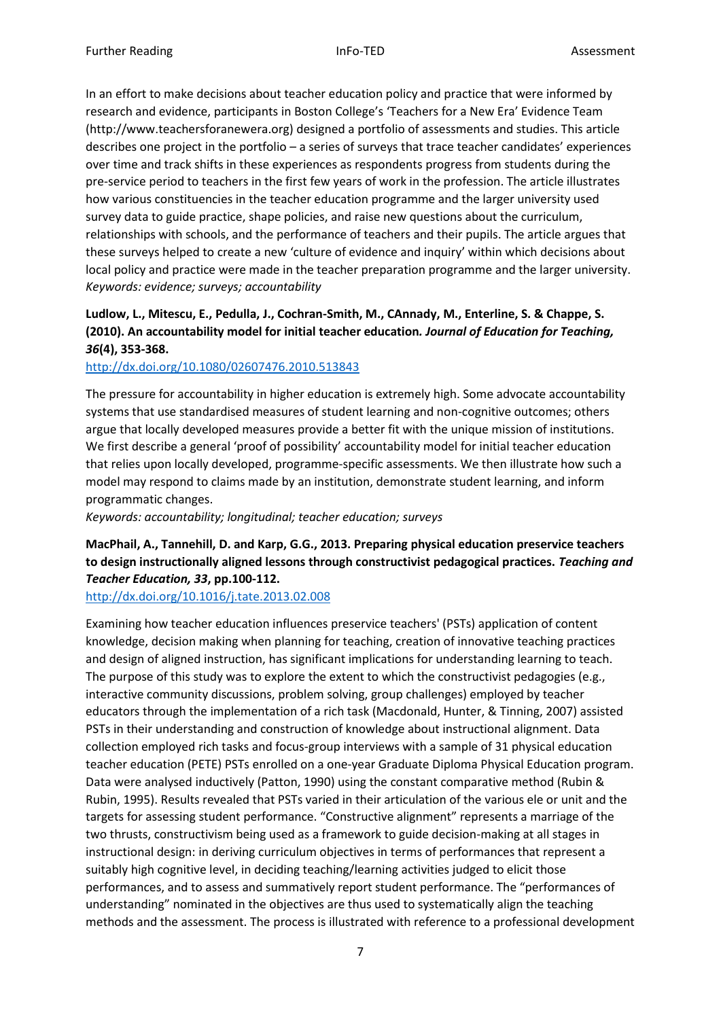In an effort to make decisions about teacher education policy and practice that were informed by research and evidence, participants in Boston College's 'Teachers for a New Era' Evidence Team (http://www.teachersforanewera.org) designed a portfolio of assessments and studies. This article describes one project in the portfolio – a series of surveys that trace teacher candidates' experiences over time and track shifts in these experiences as respondents progress from students during the pre-service period to teachers in the first few years of work in the profession. The article illustrates how various constituencies in the teacher education programme and the larger university used survey data to guide practice, shape policies, and raise new questions about the curriculum, relationships with schools, and the performance of teachers and their pupils. The article argues that these surveys helped to create a new 'culture of evidence and inquiry' within which decisions about local policy and practice were made in the teacher preparation programme and the larger university. *Keywords: evidence; surveys; accountability* 

### **Ludlow, L., Mitescu, E., Pedulla, J., Cochran-Smith, M., CAnnady, M., Enterline, S. & Chappe, S. (2010). An accountability model for initial teacher education***. Journal of Education for Teaching, 36***(4), 353-368.**

### <http://dx.doi.org/10.1080/02607476.2010.513843>

The pressure for accountability in higher education is extremely high. Some advocate accountability systems that use standardised measures of student learning and non-cognitive outcomes; others argue that locally developed measures provide a better fit with the unique mission of institutions. We first describe a general 'proof of possibility' accountability model for initial teacher education that relies upon locally developed, programme-specific assessments. We then illustrate how such a model may respond to claims made by an institution, demonstrate student learning, and inform programmatic changes.

*Keywords: accountability; longitudinal; teacher education; surveys* 

# **MacPhail, A., Tannehill, D. and Karp, G.G., 2013. Preparing physical education preservice teachers to design instructionally aligned lessons through constructivist pedagogical practices.** *Teaching and Teacher Education, 33***, pp.100-112.**

<http://dx.doi.org/10.1016/j.tate.2013.02.008>

Examining how teacher education influences preservice teachers' (PSTs) application of content knowledge, decision making when planning for teaching, creation of innovative teaching practices and design of aligned instruction, has significant implications for understanding learning to teach. The purpose of this study was to explore the extent to which the constructivist pedagogies (e.g., interactive community discussions, problem solving, group challenges) employed by teacher educators through the implementation of a rich task (Macdonald, Hunter, & Tinning, 2007) assisted PSTs in their understanding and construction of knowledge about instructional alignment. Data collection employed rich tasks and focus-group interviews with a sample of 31 physical education teacher education (PETE) PSTs enrolled on a one-year Graduate Diploma Physical Education program. Data were analysed inductively (Patton, 1990) using the constant comparative method (Rubin & Rubin, 1995). Results revealed that PSTs varied in their articulation of the various ele or unit and the targets for assessing student performance. "Constructive alignment" represents a marriage of the two thrusts, constructivism being used as a framework to guide decision-making at all stages in instructional design: in deriving curriculum objectives in terms of performances that represent a suitably high cognitive level, in deciding teaching/learning activities judged to elicit those performances, and to assess and summatively report student performance. The "performances of understanding" nominated in the objectives are thus used to systematically align the teaching methods and the assessment. The process is illustrated with reference to a professional development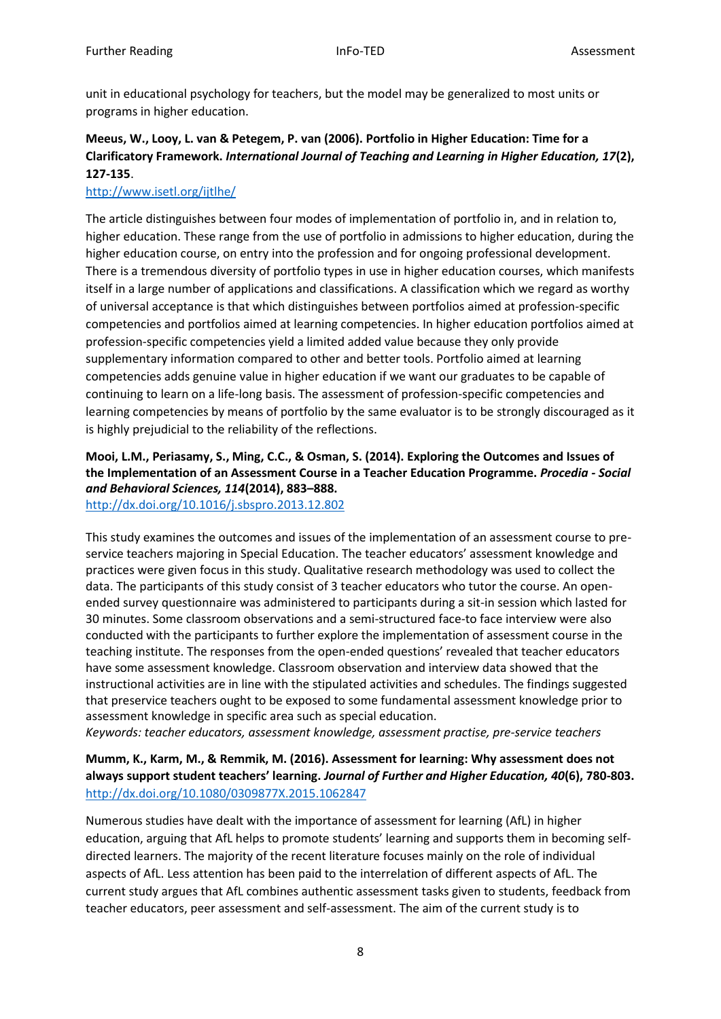unit in educational psychology for teachers, but the model may be generalized to most units or programs in higher education.

### **Meeus, W., Looy, L. van & Petegem, P. van (2006). Portfolio in Higher Education: Time for a Clarificatory Framework.** *International Journal of Teaching and Learning in Higher Education, 17***(2), 127-135**.

### <http://www.isetl.org/ijtlhe/>

The article distinguishes between four modes of implementation of portfolio in, and in relation to, higher education. These range from the use of portfolio in admissions to higher education, during the higher education course, on entry into the profession and for ongoing professional development. There is a tremendous diversity of portfolio types in use in higher education courses, which manifests itself in a large number of applications and classifications. A classification which we regard as worthy of universal acceptance is that which distinguishes between portfolios aimed at profession-specific competencies and portfolios aimed at learning competencies. In higher education portfolios aimed at profession-specific competencies yield a limited added value because they only provide supplementary information compared to other and better tools. Portfolio aimed at learning competencies adds genuine value in higher education if we want our graduates to be capable of continuing to learn on a life-long basis. The assessment of profession-specific competencies and learning competencies by means of portfolio by the same evaluator is to be strongly discouraged as it is highly prejudicial to the reliability of the reflections.

# **Mooi, L.M., Periasamy, S., Ming, C.C., & Osman, S. (2014). Exploring the Outcomes and Issues of the Implementation of an Assessment Course in a Teacher Education Programme.** *Procedia - Social and Behavioral Sciences, 114***(2014), 883–888.**

<http://dx.doi.org/10.1016/j.sbspro.2013.12.802>

This study examines the outcomes and issues of the implementation of an assessment course to preservice teachers majoring in Special Education. The teacher educators' assessment knowledge and practices were given focus in this study. Qualitative research methodology was used to collect the data. The participants of this study consist of 3 teacher educators who tutor the course. An openended survey questionnaire was administered to participants during a sit-in session which lasted for 30 minutes. Some classroom observations and a semi-structured face-to face interview were also conducted with the participants to further explore the implementation of assessment course in the teaching institute. The responses from the open-ended questions' revealed that teacher educators have some assessment knowledge. Classroom observation and interview data showed that the instructional activities are in line with the stipulated activities and schedules. The findings suggested that preservice teachers ought to be exposed to some fundamental assessment knowledge prior to assessment knowledge in specific area such as special education.

*Keywords: teacher educators, assessment knowledge, assessment practise, pre-service teachers*

**Mumm, K., Karm, M., & Remmik, M. (2016). Assessment for learning: Why assessment does not always support student teachers' learning.** *Journal of Further and Higher Education, 40***(6), 780-803.** <http://dx.doi.org/10.1080/0309877X.2015.1062847>

Numerous studies have dealt with the importance of assessment for learning (AfL) in higher education, arguing that AfL helps to promote students' learning and supports them in becoming selfdirected learners. The majority of the recent literature focuses mainly on the role of individual aspects of AfL. Less attention has been paid to the interrelation of different aspects of AfL. The current study argues that AfL combines authentic assessment tasks given to students, feedback from teacher educators, peer assessment and self-assessment. The aim of the current study is to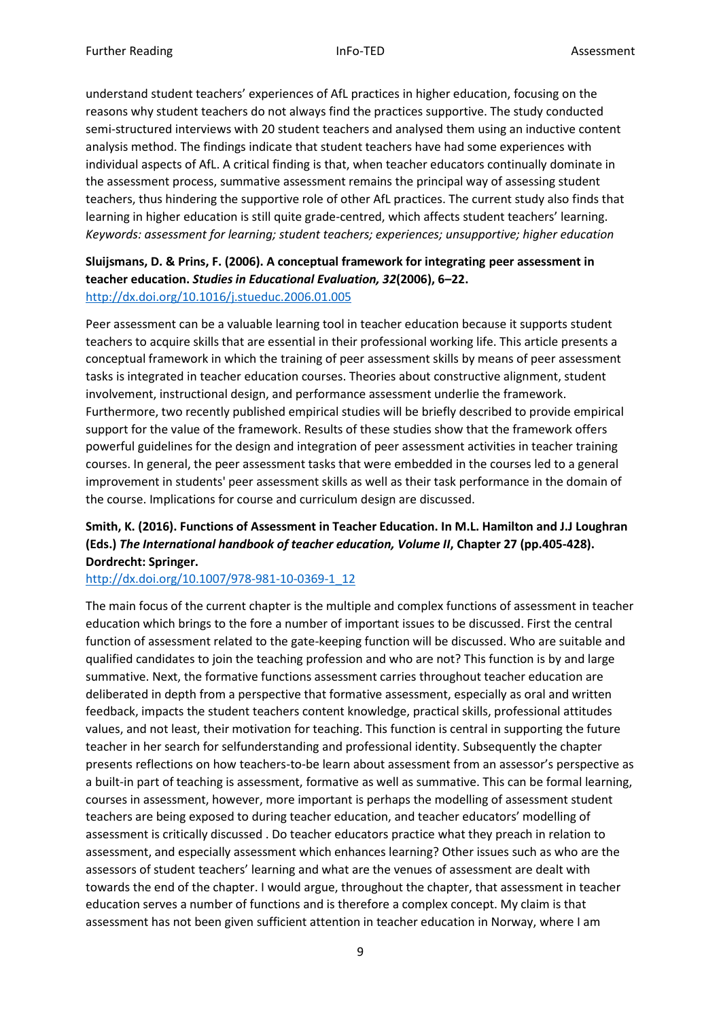understand student teachers' experiences of AfL practices in higher education, focusing on the reasons why student teachers do not always find the practices supportive. The study conducted semi-structured interviews with 20 student teachers and analysed them using an inductive content analysis method. The findings indicate that student teachers have had some experiences with individual aspects of AfL. A critical finding is that, when teacher educators continually dominate in the assessment process, summative assessment remains the principal way of assessing student teachers, thus hindering the supportive role of other AfL practices. The current study also finds that learning in higher education is still quite grade-centred, which affects student teachers' learning. *Keywords: assessment for learning; student teachers; experiences; unsupportive; higher education*

### **Sluijsmans, D. & Prins, F. (2006). A conceptual framework for integrating peer assessment in teacher education.** *Studies in Educational Evaluation, 32***(2006), 6–22.**  <http://dx.doi.org/10.1016/j.stueduc.2006.01.005>

Peer assessment can be a valuable learning tool in teacher education because it supports student teachers to acquire skills that are essential in their professional working life. This article presents a conceptual framework in which the training of peer assessment skills by means of peer assessment tasks is integrated in teacher education courses. Theories about constructive alignment, student involvement, instructional design, and performance assessment underlie the framework. Furthermore, two recently published empirical studies will be briefly described to provide empirical support for the value of the framework. Results of these studies show that the framework offers powerful guidelines for the design and integration of peer assessment activities in teacher training courses. In general, the peer assessment tasks that were embedded in the courses led to a general improvement in students' peer assessment skills as well as their task performance in the domain of the course. Implications for course and curriculum design are discussed.

### **Smith, K. (2016). Functions of Assessment in Teacher Education. In M.L. Hamilton and J.J Loughran (Eds.)** *The International handbook of teacher education, Volume II***, Chapter 27 (pp.405-428). Dordrecht: Springer.**

### [http://dx.doi.org/10.1007/978-981-10-0369-1\\_12](http://dx.doi.org/10.1007/978-981-10-0369-1_12)

The main focus of the current chapter is the multiple and complex functions of assessment in teacher education which brings to the fore a number of important issues to be discussed. First the central function of assessment related to the gate-keeping function will be discussed. Who are suitable and qualified candidates to join the teaching profession and who are not? This function is by and large summative. Next, the formative functions assessment carries throughout teacher education are deliberated in depth from a perspective that formative assessment, especially as oral and written feedback, impacts the student teachers content knowledge, practical skills, professional attitudes values, and not least, their motivation for teaching. This function is central in supporting the future teacher in her search for selfunderstanding and professional identity. Subsequently the chapter presents reflections on how teachers-to-be learn about assessment from an assessor's perspective as a built-in part of teaching is assessment, formative as well as summative. This can be formal learning, courses in assessment, however, more important is perhaps the modelling of assessment student teachers are being exposed to during teacher education, and teacher educators' modelling of assessment is critically discussed . Do teacher educators practice what they preach in relation to assessment, and especially assessment which enhances learning? Other issues such as who are the assessors of student teachers' learning and what are the venues of assessment are dealt with towards the end of the chapter. I would argue, throughout the chapter, that assessment in teacher education serves a number of functions and is therefore a complex concept. My claim is that assessment has not been given sufficient attention in teacher education in Norway, where I am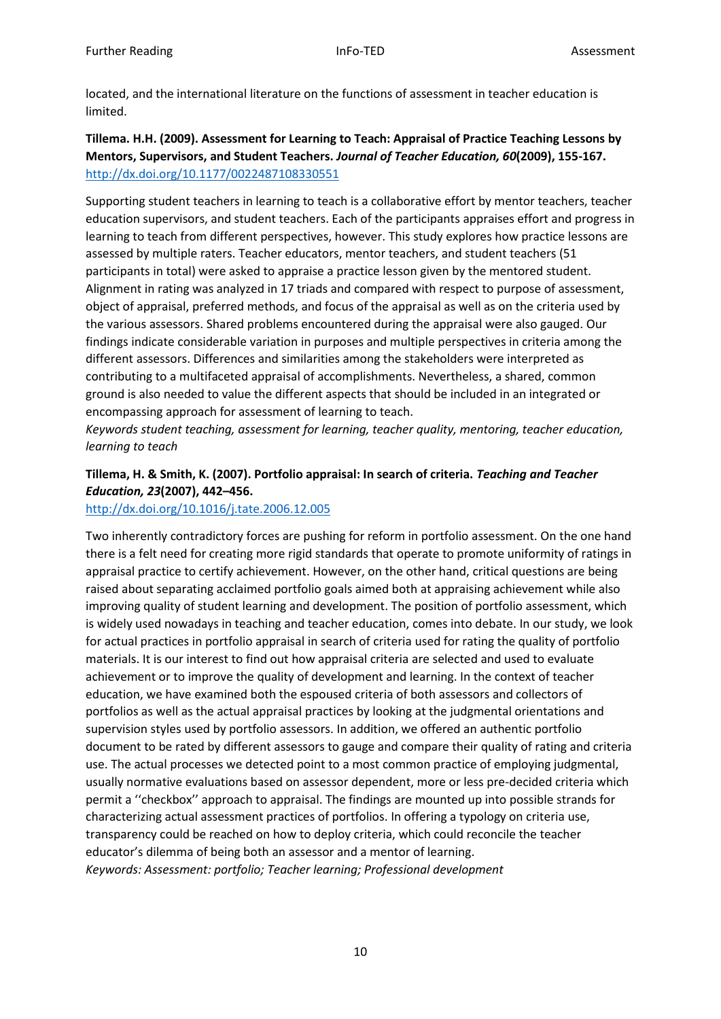located, and the international literature on the functions of assessment in teacher education is limited.

### **Tillema. H.H. (2009). Assessment for Learning to Teach: Appraisal of Practice Teaching Lessons by Mentors, Supervisors, and Student Teachers.** *Journal of Teacher Education, 60***(2009), 155-167.**  <http://dx.doi.org/10.1177/0022487108330551>

Supporting student teachers in learning to teach is a collaborative effort by mentor teachers, teacher education supervisors, and student teachers. Each of the participants appraises effort and progress in learning to teach from different perspectives, however. This study explores how practice lessons are assessed by multiple raters. Teacher educators, mentor teachers, and student teachers (51 participants in total) were asked to appraise a practice lesson given by the mentored student. Alignment in rating was analyzed in 17 triads and compared with respect to purpose of assessment, object of appraisal, preferred methods, and focus of the appraisal as well as on the criteria used by the various assessors. Shared problems encountered during the appraisal were also gauged. Our findings indicate considerable variation in purposes and multiple perspectives in criteria among the different assessors. Differences and similarities among the stakeholders were interpreted as contributing to a multifaceted appraisal of accomplishments. Nevertheless, a shared, common ground is also needed to value the different aspects that should be included in an integrated or encompassing approach for assessment of learning to teach.

*Keywords student teaching, assessment for learning, teacher quality, mentoring, teacher education, learning to teach* 

### **Tillema, H. & Smith, K. (2007). Portfolio appraisal: In search of criteria.** *Teaching and Teacher Education, 23***(2007), 442–456.**

### <http://dx.doi.org/10.1016/j.tate.2006.12.005>

Two inherently contradictory forces are pushing for reform in portfolio assessment. On the one hand there is a felt need for creating more rigid standards that operate to promote uniformity of ratings in appraisal practice to certify achievement. However, on the other hand, critical questions are being raised about separating acclaimed portfolio goals aimed both at appraising achievement while also improving quality of student learning and development. The position of portfolio assessment, which is widely used nowadays in teaching and teacher education, comes into debate. In our study, we look for actual practices in portfolio appraisal in search of criteria used for rating the quality of portfolio materials. It is our interest to find out how appraisal criteria are selected and used to evaluate achievement or to improve the quality of development and learning. In the context of teacher education, we have examined both the espoused criteria of both assessors and collectors of portfolios as well as the actual appraisal practices by looking at the judgmental orientations and supervision styles used by portfolio assessors. In addition, we offered an authentic portfolio document to be rated by different assessors to gauge and compare their quality of rating and criteria use. The actual processes we detected point to a most common practice of employing judgmental, usually normative evaluations based on assessor dependent, more or less pre-decided criteria which permit a ''checkbox'' approach to appraisal. The findings are mounted up into possible strands for characterizing actual assessment practices of portfolios. In offering a typology on criteria use, transparency could be reached on how to deploy criteria, which could reconcile the teacher educator's dilemma of being both an assessor and a mentor of learning. *Keywords: Assessment: portfolio; Teacher learning; Professional development*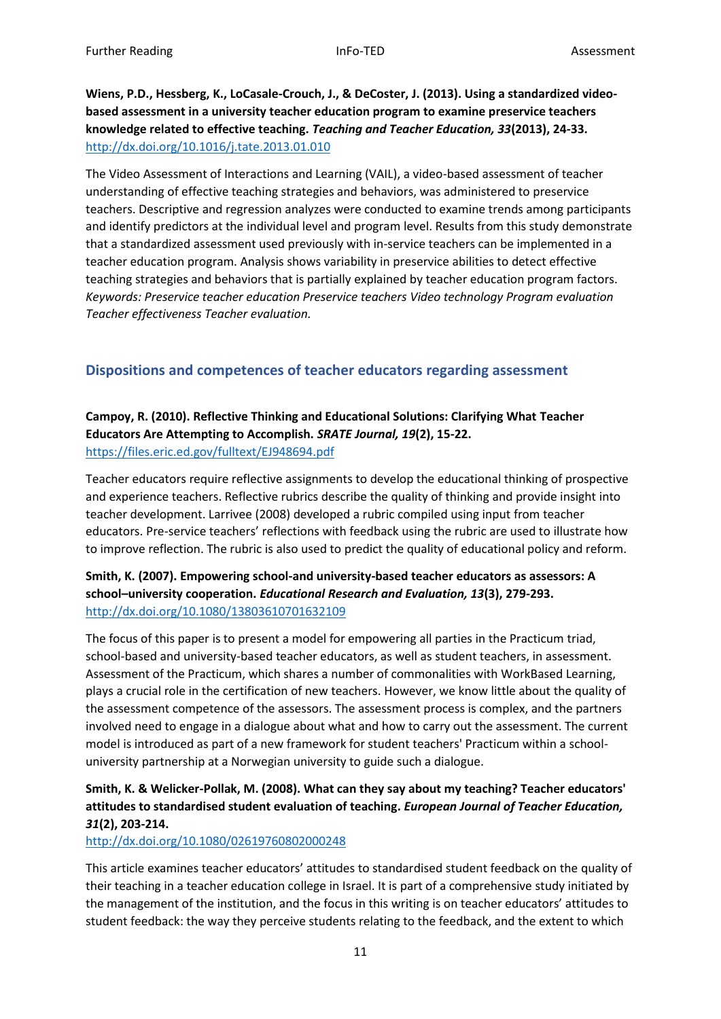**Wiens, P.D., Hessberg, K., LoCasale-Crouch, J., & DeCoster, J. (2013). Using a standardized videobased assessment in a university teacher education program to examine preservice teachers knowledge related to effective teaching.** *Teaching and Teacher Education, 33***(2013), 24-33.**  <http://dx.doi.org/10.1016/j.tate.2013.01.010>

The Video Assessment of Interactions and Learning (VAIL), a video-based assessment of teacher understanding of effective teaching strategies and behaviors, was administered to preservice teachers. Descriptive and regression analyzes were conducted to examine trends among participants and identify predictors at the individual level and program level. Results from this study demonstrate that a standardized assessment used previously with in-service teachers can be implemented in a teacher education program. Analysis shows variability in preservice abilities to detect effective teaching strategies and behaviors that is partially explained by teacher education program factors. *Keywords: Preservice teacher education Preservice teachers Video technology Program evaluation Teacher effectiveness Teacher evaluation.*

### <span id="page-10-0"></span>**Dispositions and competences of teacher educators regarding assessment**

### **Campoy, R. (2010). Reflective Thinking and Educational Solutions: Clarifying What Teacher Educators Are Attempting to Accomplish.** *SRATE Journal, 19***(2), 15-22.**  <https://files.eric.ed.gov/fulltext/EJ948694.pdf>

Teacher educators require reflective assignments to develop the educational thinking of prospective and experience teachers. Reflective rubrics describe the quality of thinking and provide insight into teacher development. Larrivee (2008) developed a rubric compiled using input from teacher educators. Pre-service teachers' reflections with feedback using the rubric are used to illustrate how to improve reflection. The rubric is also used to predict the quality of educational policy and reform.

### **Smith, K. (2007). Empowering school-and university-based teacher educators as assessors: A school–university cooperation.** *Educational Research and Evaluation, 13***(3), 279-293.**  <http://dx.doi.org/10.1080/13803610701632109>

The focus of this paper is to present a model for empowering all parties in the Practicum triad, school-based and university-based teacher educators, as well as student teachers, in assessment. Assessment of the Practicum, which shares a number of commonalities with WorkBased Learning, plays a crucial role in the certification of new teachers. However, we know little about the quality of the assessment competence of the assessors. The assessment process is complex, and the partners involved need to engage in a dialogue about what and how to carry out the assessment. The current model is introduced as part of a new framework for student teachers' Practicum within a schooluniversity partnership at a Norwegian university to guide such a dialogue.

### **Smith, K. & Welicker-Pollak, M. (2008). What can they say about my teaching? Teacher educators' attitudes to standardised student evaluation of teaching.** *European Journal of Teacher Education, 31***(2), 203-214.**

### <http://dx.doi.org/10.1080/02619760802000248>

This article examines teacher educators' attitudes to standardised student feedback on the quality of their teaching in a teacher education college in Israel. It is part of a comprehensive study initiated by the management of the institution, and the focus in this writing is on teacher educators' attitudes to student feedback: the way they perceive students relating to the feedback, and the extent to which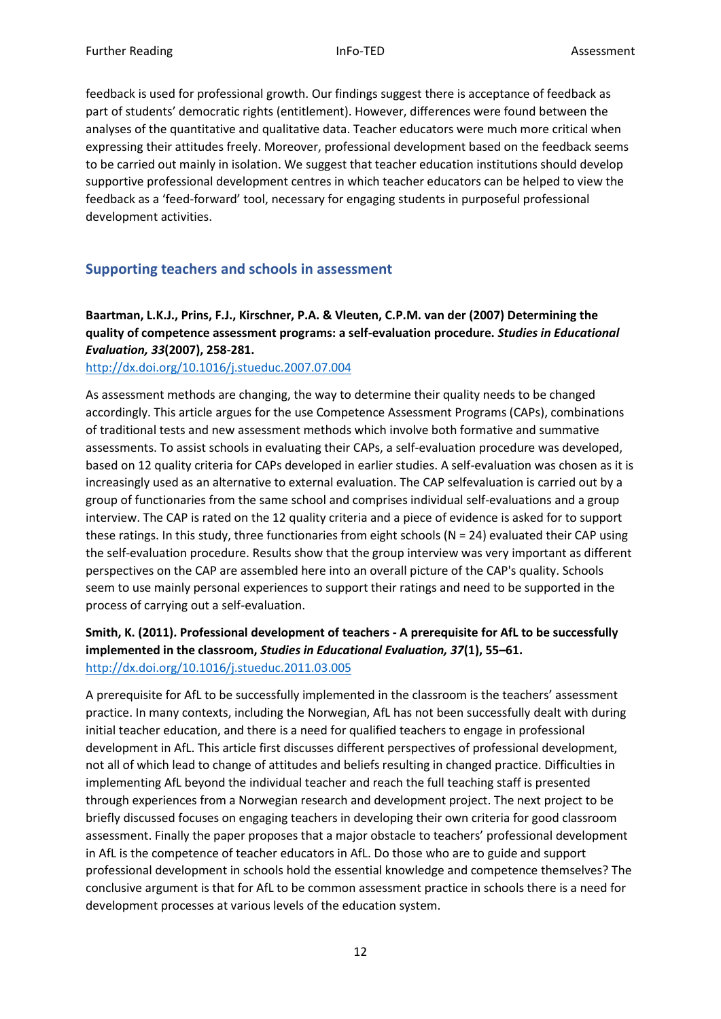feedback is used for professional growth. Our findings suggest there is acceptance of feedback as part of students' democratic rights (entitlement). However, differences were found between the analyses of the quantitative and qualitative data. Teacher educators were much more critical when expressing their attitudes freely. Moreover, professional development based on the feedback seems to be carried out mainly in isolation. We suggest that teacher education institutions should develop supportive professional development centres in which teacher educators can be helped to view the feedback as a 'feed-forward' tool, necessary for engaging students in purposeful professional development activities.

### <span id="page-11-0"></span>**Supporting teachers and schools in assessment**

### **Baartman, L.K.J., Prins, F.J., Kirschner, P.A. & Vleuten, C.P.M. van der (2007) Determining the quality of competence assessment programs: a self-evaluation procedure.** *Studies in Educational Evaluation, 33***(2007), 258-281.**

#### <http://dx.doi.org/10.1016/j.stueduc.2007.07.004>

As assessment methods are changing, the way to determine their quality needs to be changed accordingly. This article argues for the use Competence Assessment Programs (CAPs), combinations of traditional tests and new assessment methods which involve both formative and summative assessments. To assist schools in evaluating their CAPs, a self-evaluation procedure was developed, based on 12 quality criteria for CAPs developed in earlier studies. A self-evaluation was chosen as it is increasingly used as an alternative to external evaluation. The CAP selfevaluation is carried out by a group of functionaries from the same school and comprises individual self-evaluations and a group interview. The CAP is rated on the 12 quality criteria and a piece of evidence is asked for to support these ratings. In this study, three functionaries from eight schools (N = 24) evaluated their CAP using the self-evaluation procedure. Results show that the group interview was very important as different perspectives on the CAP are assembled here into an overall picture of the CAP's quality. Schools seem to use mainly personal experiences to support their ratings and need to be supported in the process of carrying out a self-evaluation.

### **Smith, K. (2011). Professional development of teachers - A prerequisite for AfL to be successfully implemented in the classroom,** *Studies in Educational Evaluation, 37***(1), 55–61.**  <http://dx.doi.org/10.1016/j.stueduc.2011.03.005>

A prerequisite for AfL to be successfully implemented in the classroom is the teachers' assessment practice. In many contexts, including the Norwegian, AfL has not been successfully dealt with during initial teacher education, and there is a need for qualified teachers to engage in professional development in AfL. This article first discusses different perspectives of professional development, not all of which lead to change of attitudes and beliefs resulting in changed practice. Difficulties in implementing AfL beyond the individual teacher and reach the full teaching staff is presented through experiences from a Norwegian research and development project. The next project to be briefly discussed focuses on engaging teachers in developing their own criteria for good classroom assessment. Finally the paper proposes that a major obstacle to teachers' professional development in AfL is the competence of teacher educators in AfL. Do those who are to guide and support professional development in schools hold the essential knowledge and competence themselves? The conclusive argument is that for AfL to be common assessment practice in schools there is a need for development processes at various levels of the education system.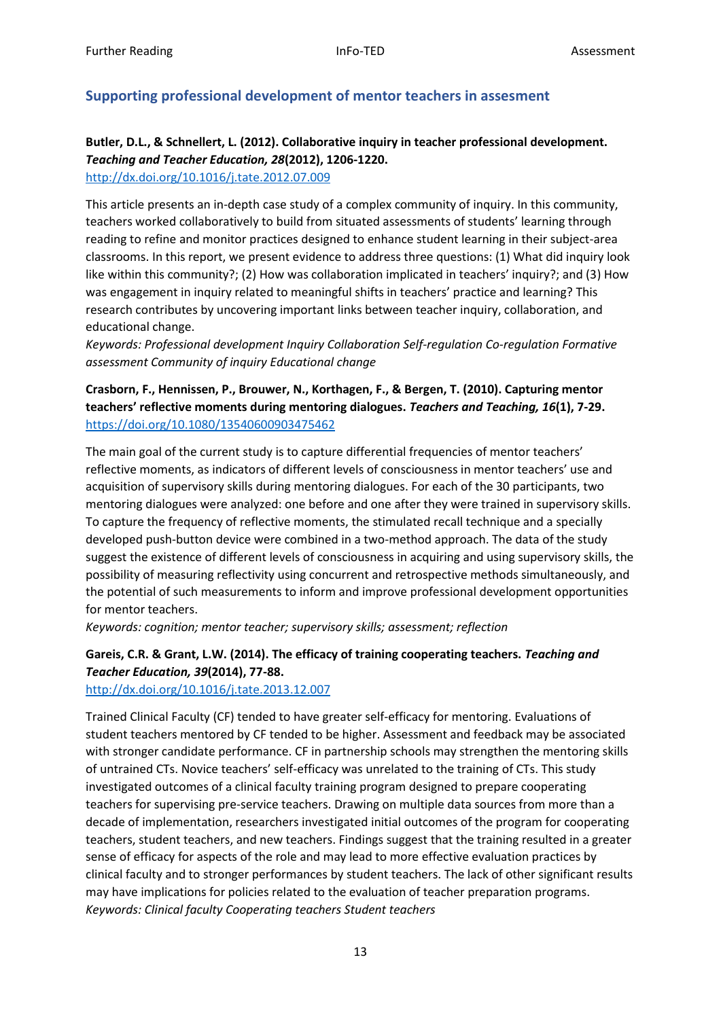### <span id="page-12-0"></span>**Supporting professional development of mentor teachers in assesment**

# **Butler, D.L., & Schnellert, L. (2012). Collaborative inquiry in teacher professional development.**  *Teaching and Teacher Education, 28***(2012), 1206-1220.**

<http://dx.doi.org/10.1016/j.tate.2012.07.009>

This article presents an in-depth case study of a complex community of inquiry. In this community, teachers worked collaboratively to build from situated assessments of students' learning through reading to refine and monitor practices designed to enhance student learning in their subject-area classrooms. In this report, we present evidence to address three questions: (1) What did inquiry look like within this community?; (2) How was collaboration implicated in teachers' inquiry?; and (3) How was engagement in inquiry related to meaningful shifts in teachers' practice and learning? This research contributes by uncovering important links between teacher inquiry, collaboration, and educational change.

*Keywords: Professional development Inquiry Collaboration Self-regulation Co-regulation Formative assessment Community of inquiry Educational change* 

**Crasborn, F., Hennissen, P., Brouwer, N., Korthagen, F., & Bergen, T. (2010). Capturing mentor teachers' reflective moments during mentoring dialogues.** *Teachers and Teaching, 16***(1), 7-29.**  <https://doi.org/10.1080/13540600903475462>

The main goal of the current study is to capture differential frequencies of mentor teachers' reflective moments, as indicators of different levels of consciousness in mentor teachers' use and acquisition of supervisory skills during mentoring dialogues. For each of the 30 participants, two mentoring dialogues were analyzed: one before and one after they were trained in supervisory skills. To capture the frequency of reflective moments, the stimulated recall technique and a specially developed push-button device were combined in a two-method approach. The data of the study suggest the existence of different levels of consciousness in acquiring and using supervisory skills, the possibility of measuring reflectivity using concurrent and retrospective methods simultaneously, and the potential of such measurements to inform and improve professional development opportunities for mentor teachers.

*Keywords: cognition; mentor teacher; supervisory skills; assessment; reflection* 

### **Gareis, C.R. & Grant, L.W. (2014). The efficacy of training cooperating teachers.** *Teaching and Teacher Education, 39***(2014), 77-88.**

### <http://dx.doi.org/10.1016/j.tate.2013.12.007>

Trained Clinical Faculty (CF) tended to have greater self-efficacy for mentoring. Evaluations of student teachers mentored by CF tended to be higher. Assessment and feedback may be associated with stronger candidate performance. CF in partnership schools may strengthen the mentoring skills of untrained CTs. Novice teachers' self-efficacy was unrelated to the training of CTs. This study investigated outcomes of a clinical faculty training program designed to prepare cooperating teachers for supervising pre-service teachers. Drawing on multiple data sources from more than a decade of implementation, researchers investigated initial outcomes of the program for cooperating teachers, student teachers, and new teachers. Findings suggest that the training resulted in a greater sense of efficacy for aspects of the role and may lead to more effective evaluation practices by clinical faculty and to stronger performances by student teachers. The lack of other significant results may have implications for policies related to the evaluation of teacher preparation programs. *Keywords: Clinical faculty Cooperating teachers Student teachers*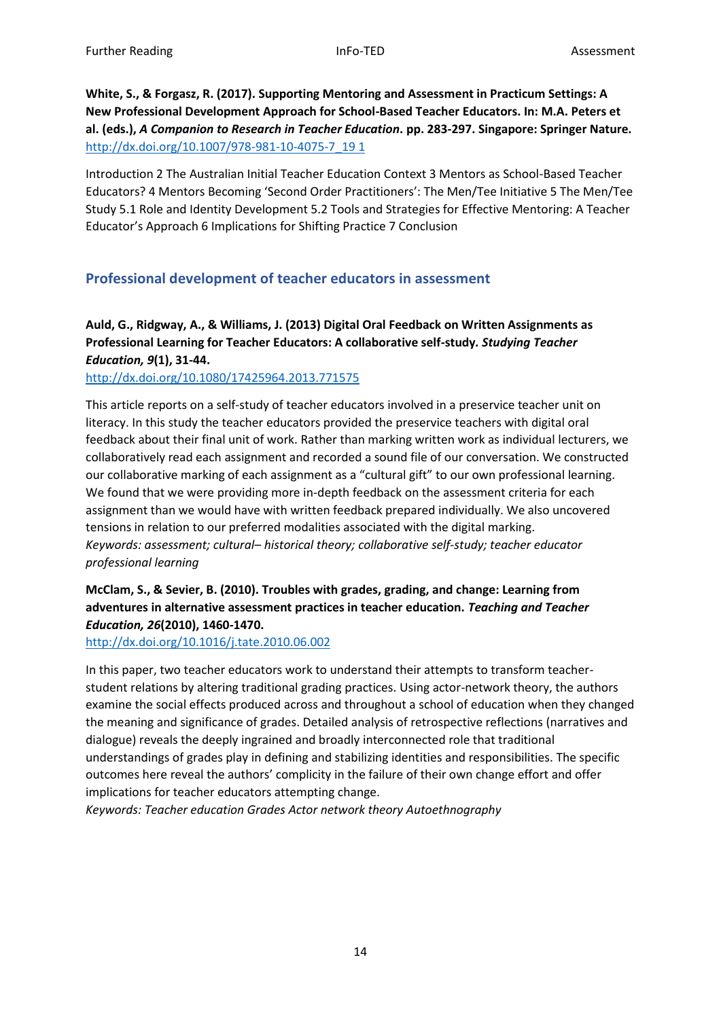**White, S., & Forgasz, R. (2017). Supporting Mentoring and Assessment in Practicum Settings: A New Professional Development Approach for School-Based Teacher Educators. In: M.A. Peters et al. (eds.),** *A Companion to Research in Teacher Education***. pp. 283-297. Singapore: Springer Nature.**  [http://dx.doi.org/10.1007/978-981-10-4075-7\\_19 1](http://dx.doi.org/10.1007/978-981-10-4075-7_19%201)

Introduction 2 The Australian Initial Teacher Education Context 3 Mentors as School-Based Teacher Educators? 4 Mentors Becoming 'Second Order Practitioners': The Men/Tee Initiative 5 The Men/Tee Study 5.1 Role and Identity Development 5.2 Tools and Strategies for Effective Mentoring: A Teacher Educator's Approach 6 Implications for Shifting Practice 7 Conclusion

# <span id="page-13-0"></span>**Professional development of teacher educators in assessment**

**Auld, G., Ridgway, A., & Williams, J. (2013) Digital Oral Feedback on Written Assignments as Professional Learning for Teacher Educators: A collaborative self-study***. Studying Teacher Education, 9***(1), 31-44.** 

<http://dx.doi.org/10.1080/17425964.2013.771575>

This article reports on a self-study of teacher educators involved in a preservice teacher unit on literacy. In this study the teacher educators provided the preservice teachers with digital oral feedback about their final unit of work. Rather than marking written work as individual lecturers, we collaboratively read each assignment and recorded a sound file of our conversation. We constructed our collaborative marking of each assignment as a "cultural gift" to our own professional learning. We found that we were providing more in-depth feedback on the assessment criteria for each assignment than we would have with written feedback prepared individually. We also uncovered tensions in relation to our preferred modalities associated with the digital marking. *Keywords: assessment; cultural– historical theory; collaborative self-study; teacher educator professional learning* 

### **McClam, S., & Sevier, B. (2010). Troubles with grades, grading, and change: Learning from adventures in alternative assessment practices in teacher education.** *Teaching and Teacher Education, 26***(2010), 1460-1470.**

<http://dx.doi.org/10.1016/j.tate.2010.06.002>

In this paper, two teacher educators work to understand their attempts to transform teacherstudent relations by altering traditional grading practices. Using actor-network theory, the authors examine the social effects produced across and throughout a school of education when they changed the meaning and significance of grades. Detailed analysis of retrospective reflections (narratives and dialogue) reveals the deeply ingrained and broadly interconnected role that traditional understandings of grades play in defining and stabilizing identities and responsibilities. The specific outcomes here reveal the authors' complicity in the failure of their own change effort and offer implications for teacher educators attempting change.

*Keywords: Teacher education Grades Actor network theory Autoethnography*